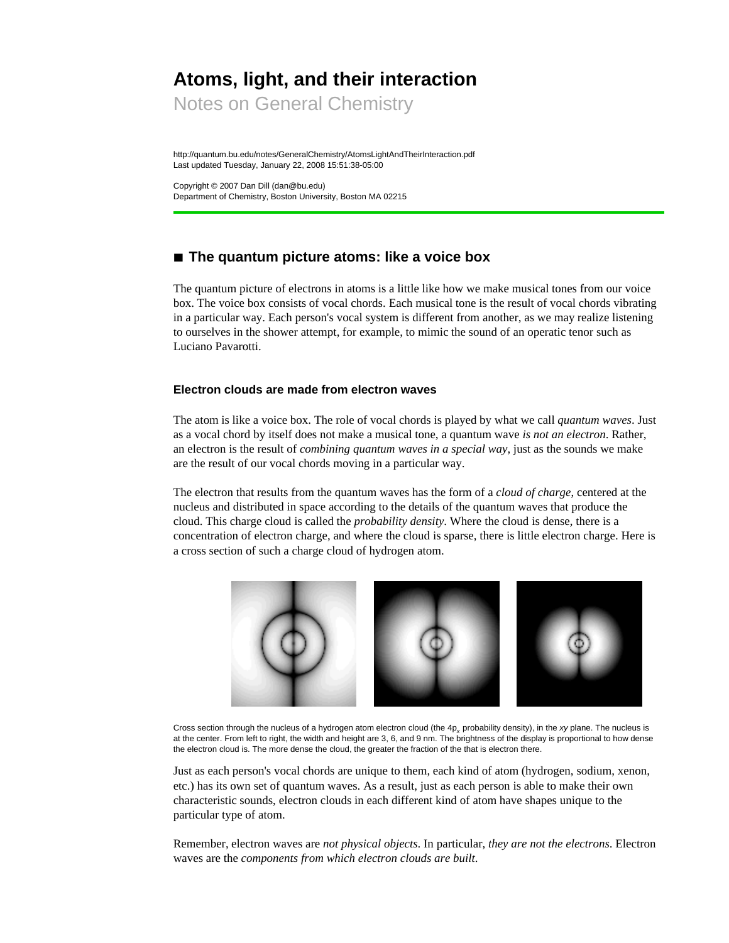# **Atoms, light, and their interaction**

Notes on General Chemistry

http://quantum.bu.edu/notes/GeneralChemistry/AtomsLightAndTheirInteraction.pdf Last updated Tuesday, January 22, 2008 15:51:38-05:00

Copyright © 2007 Dan Dill (dan@bu.edu) Department of Chemistry, Boston University, Boston MA 02215

# ■ The quantum picture atoms: like a voice box

The quantum picture of electrons in atoms is a little like how we make musical tones from our voice box. The voice box consists of vocal chords. Each musical tone is the result of vocal chords vibrating in a particular way. Each person's vocal system is different from another, as we may realize listening to ourselves in the shower attempt, for example, to mimic the sound of an operatic tenor such as Luciano Pavarotti.

# **Electron clouds are made from electron waves**

The atom is like a voice box. The role of vocal chords is played by what we call *quantum waves*. Just as a vocal chord by itself does not make a musical tone, a quantum wave *is not an electron*. Rather, an electron is the result of *combining quantum waves in a special way*, just as the sounds we make are the result of our vocal chords moving in a particular way.

The electron that results from the quantum waves has the form of a *cloud of charge*, centered at the nucleus and distributed in space according to the details of the quantum waves that produce the cloud. This charge cloud is called the *probability density*. Where the cloud is dense, there is a concentration of electron charge, and where the cloud is sparse, there is little electron charge. Here is a cross section of such a charge cloud of hydrogen atom.



Cross section through the nucleus of a hydrogen atom electron cloud (the 4p*x* probability density), in the *xy* plane. The nucleus is at the center. From left to right, the width and height are 3, 6, and 9 nm. The brightness of the display is proportional to how dense the electron cloud is. The more dense the cloud, the greater the fraction of the that is electron there.

Just as each person's vocal chords are unique to them, each kind of atom (hydrogen, sodium, xenon, etc.) has its own set of quantum waves. As a result, just as each person is able to make their own characteristic sounds, electron clouds in each different kind of atom have shapes unique to the particular type of atom.

Remember, electron waves are *not physical objects*. In particular, *they are not the electrons*. Electron waves are the *components from which electron clouds are built*.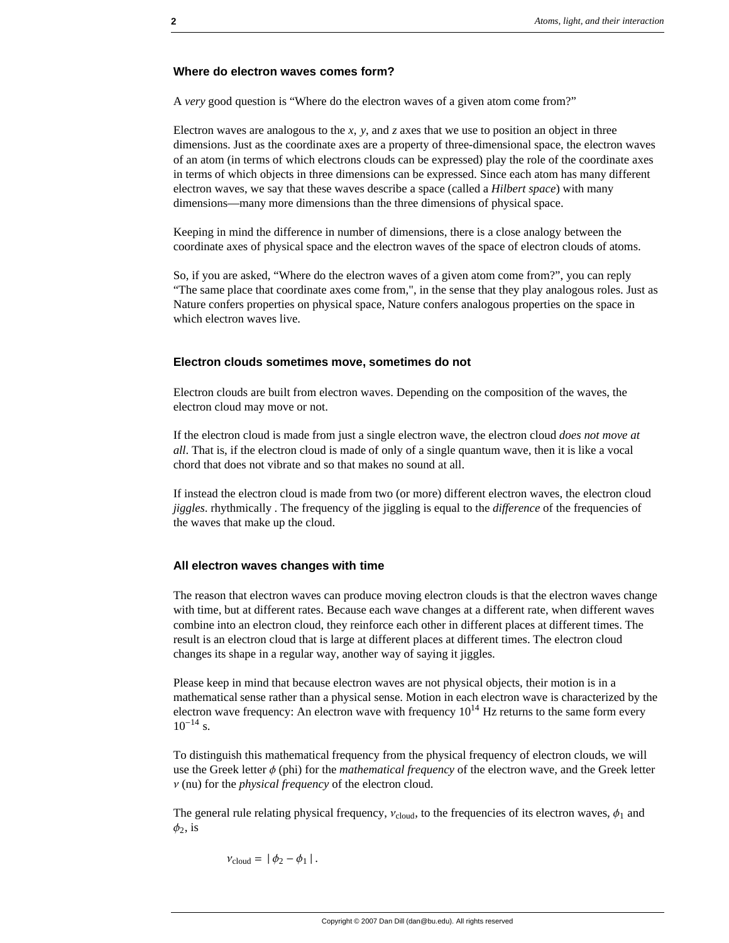#### **Where do electron waves comes form?**

A *very* good question is "Where do the electron waves of a given atom come from?"

Electron waves are analogous to the *x*, *y*, and *z* axes that we use to position an object in three dimensions. Just as the coordinate axes are a property of three-dimensional space, the electron waves of an atom (in terms of which electrons clouds can be expressed) play the role of the coordinate axes in terms of which objects in three dimensions can be expressed. Since each atom has many different electron waves, we say that these waves describe a space (called a *Hilbert space*) with many dimensions—many more dimensions than the three dimensions of physical space.

Keeping in mind the difference in number of dimensions, there is a close analogy between the coordinate axes of physical space and the electron waves of the space of electron clouds of atoms.

So, if you are asked, "Where do the electron waves of a given atom come from?", you can reply "The same place that coordinate axes come from,", in the sense that they play analogous roles. Just as Nature confers properties on physical space, Nature confers analogous properties on the space in which electron waves live.

#### **Electron clouds sometimes move, sometimes do not**

Electron clouds are built from electron waves. Depending on the composition of the waves, the electron cloud may move or not.

If the electron cloud is made from just a single electron wave, the electron cloud *does not move at all*. That is, if the electron cloud is made of only of a single quantum wave, then it is like a vocal chord that does not vibrate and so that makes no sound at all.

If instead the electron cloud is made from two (or more) different electron waves, the electron cloud *jiggles*. rhythmically . The frequency of the jiggling is equal to the *difference* of the frequencies of the waves that make up the cloud.

#### **All electron waves changes with time**

The reason that electron waves can produce moving electron clouds is that the electron waves change with time, but at different rates. Because each wave changes at a different rate, when different waves combine into an electron cloud, they reinforce each other in different places at different times. The result is an electron cloud that is large at different places at different times. The electron cloud changes its shape in a regular way, another way of saying it jiggles.

Please keep in mind that because electron waves are not physical objects, their motion is in a mathematical sense rather than a physical sense. Motion in each electron wave is characterized by the electron wave frequency: An electron wave with frequency  $10^{14}$  Hz returns to the same form every  $10^{-14}$  s.

To distinguish this mathematical frequency from the physical frequency of electron clouds, we will use the Greek letter  $\phi$  (phi) for the *mathematical frequency* of the electron wave, and the Greek letter  $\nu$  (nu) for the *physical frequency* of the electron cloud.

The general rule relating physical frequency,  $v_{cloud}$ , to the frequencies of its electron waves,  $\phi_1$  and  $\phi_2$ , is

$$
v_{\rm cloud} = |\phi_2 - \phi_1|.
$$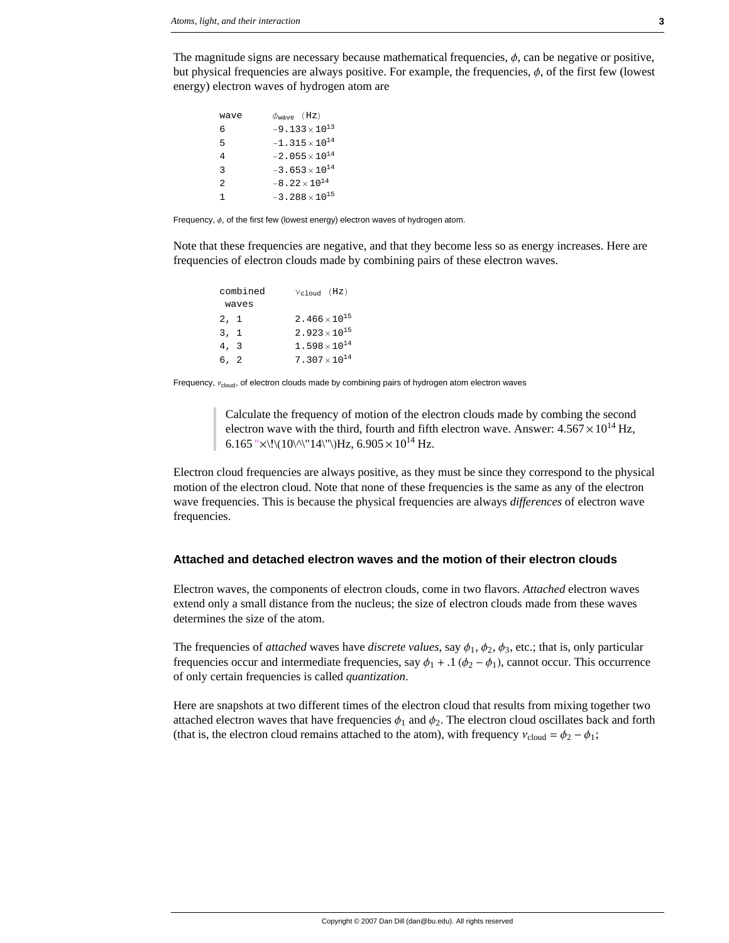The magnitude signs are necessary because mathematical frequencies,  $\phi$ , can be negative or positive, but physical frequencies are always positive. For example, the frequencies,  $\phi$ , of the first few (lowest energy) electron waves of hydrogen atom are

| wave           | $\phi_{\text{wave}}$ (Hz) |
|----------------|---------------------------|
| б              | $-9.133 \times 10^{13}$   |
| 5              | $-1.315 \times 10^{14}$   |
| 4              | $-2.055 \times 10^{14}$   |
| ζ              | $-3.653 \times 10^{14}$   |
| $\mathfrak{D}$ | $-8.22 \times 10^{14}$    |
| 1              | $-3.288 \times 10^{15}$   |

Frequency,  $\phi$ , of the first few (lowest energy) electron waves of hydrogen atom.

Note that these frequencies are negative, and that they become less so as energy increases. Here are frequencies of electron clouds made by combining pairs of these electron waves.

|      | combined | $V_{\text{cloud}}$ (Hz)         |  |
|------|----------|---------------------------------|--|
|      | waves    |                                 |  |
| 2, 1 |          | 2.466 $\times$ 10 <sup>15</sup> |  |
| 3.1  |          | 2.923 $\times$ 10 <sup>15</sup> |  |
| 4, 3 |          | $1.598 \times 10^{14}$          |  |
| 6, 2 |          | $7.307 \times 10^{14}$          |  |

Frequency,  $v_{\text{cloud}}$ , of electron clouds made by combining pairs of hydrogen atom electron waves

Calculate the frequency of motion of the electron clouds made by combing the second electron wave with the third, fourth and fifth electron wave. Answer:  $4.567 \times 10^{14}$  Hz, 6.165 " $\times\! \frac{10}{10}$  "14\"\)Hz, 6.905  $\times$  10<sup>14</sup> Hz.

Electron cloud frequencies are always positive, as they must be since they correspond to the physical motion of the electron cloud. Note that none of these frequencies is the same as any of the electron wave frequencies. This is because the physical frequencies are always *differences* of electron wave frequencies.

### **Attached and detached electron waves and the motion of their electron clouds**

Electron waves, the components of electron clouds, come in two flavors. *Attached* electron waves extend only a small distance from the nucleus; the size of electron clouds made from these waves determines the size of the atom.

The frequencies of *attached* waves have *discrete values*, say  $\phi_1$ ,  $\phi_2$ ,  $\phi_3$ , etc.; that is, only particular frequencies occur and intermediate frequencies, say  $\phi_1 + .1$  ( $\phi_2 - \phi_1$ ), cannot occur. This occurrence of only certain frequencies is called *quantization*.

Here are snapshots at two different times of the electron cloud that results from mixing together two attached electron waves that have frequencies  $\phi_1$  and  $\phi_2$ . The electron cloud oscillates back and forth (that is, the electron cloud remains attached to the atom), with frequency  $v_{\text{cloud}} = \phi_2 - \phi_1$ ;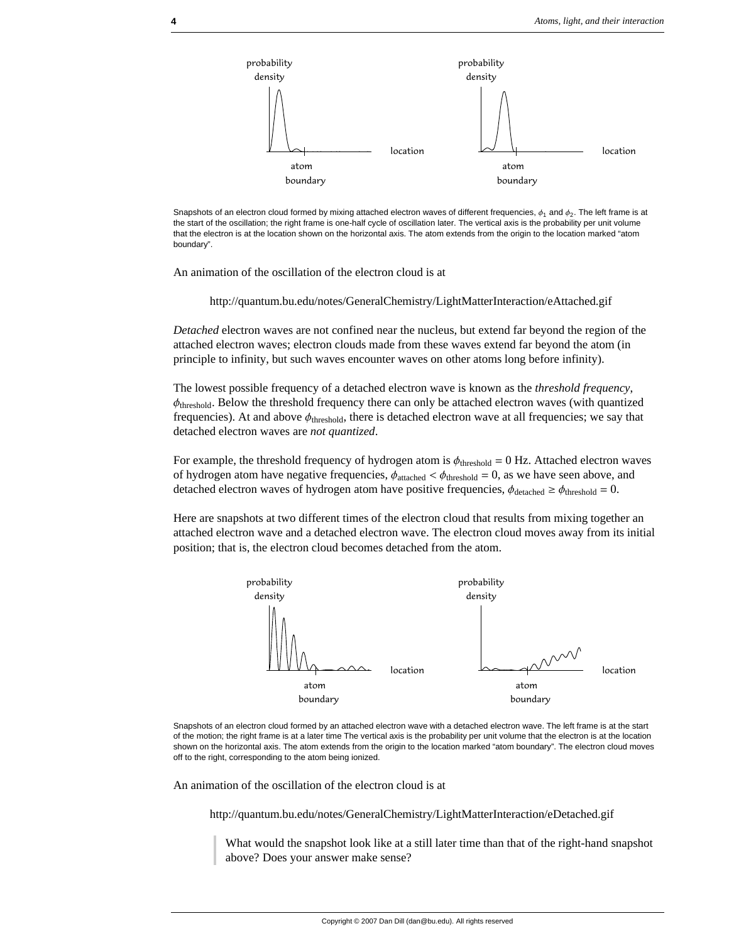

Snapshots of an electron cloud formed by mixing attached electron waves of different frequencies,  $\phi_1$  and  $\phi_2$ . The left frame is at the start of the oscillation; the right frame is one-half cycle of oscillation later. The vertical axis is the probability per unit volume that the electron is at the location shown on the horizontal axis. The atom extends from the origin to the location marked "atom boundary".

An animation of the oscillation of the electron cloud is at

http://quantum.bu.edu/notes/GeneralChemistry/LightMatterInteraction/eAttached.gif

*Detached* electron waves are not confined near the nucleus, but extend far beyond the region of the attached electron waves; electron clouds made from these waves extend far beyond the atom (in principle to infinity, but such waves encounter waves on other atoms long before infinity).

The lowest possible frequency of a detached electron wave is known as the *threshold frequency*,  $\phi$ <sub>threshold</sub>. Below the threshold frequency there can only be attached electron waves (with quantized frequencies). At and above  $\phi_{\text{threshold}}$ , there is detached electron wave at all frequencies; we say that detached electron waves are *not quantized*.

For example, the threshold frequency of hydrogen atom is  $\phi_{\text{threshold}} = 0$  Hz. Attached electron waves of hydrogen atom have negative frequencies,  $\phi_{\text{attached}} < \phi_{\text{threshold}} = 0$ , as we have seen above, and detached electron waves of hydrogen atom have positive frequencies,  $\phi_{\text{detached}} \ge \phi_{\text{threshold}} = 0$ .

Here are snapshots at two different times of the electron cloud that results from mixing together an attached electron wave and a detached electron wave. The electron cloud moves away from its initial position; that is, the electron cloud becomes detached from the atom.



Snapshots of an electron cloud formed by an attached electron wave with a detached electron wave. The left frame is at the start of the motion; the right frame is at a later time The vertical axis is the probability per unit volume that the electron is at the location shown on the horizontal axis. The atom extends from the origin to the location marked "atom boundary". The electron cloud moves off to the right, corresponding to the atom being ionized.

An animation of the oscillation of the electron cloud is at

http://quantum.bu.edu/notes/GeneralChemistry/LightMatterInteraction/eDetached.gif

What would the snapshot look like at a still later time than that of the right-hand snapshot above? Does your answer make sense?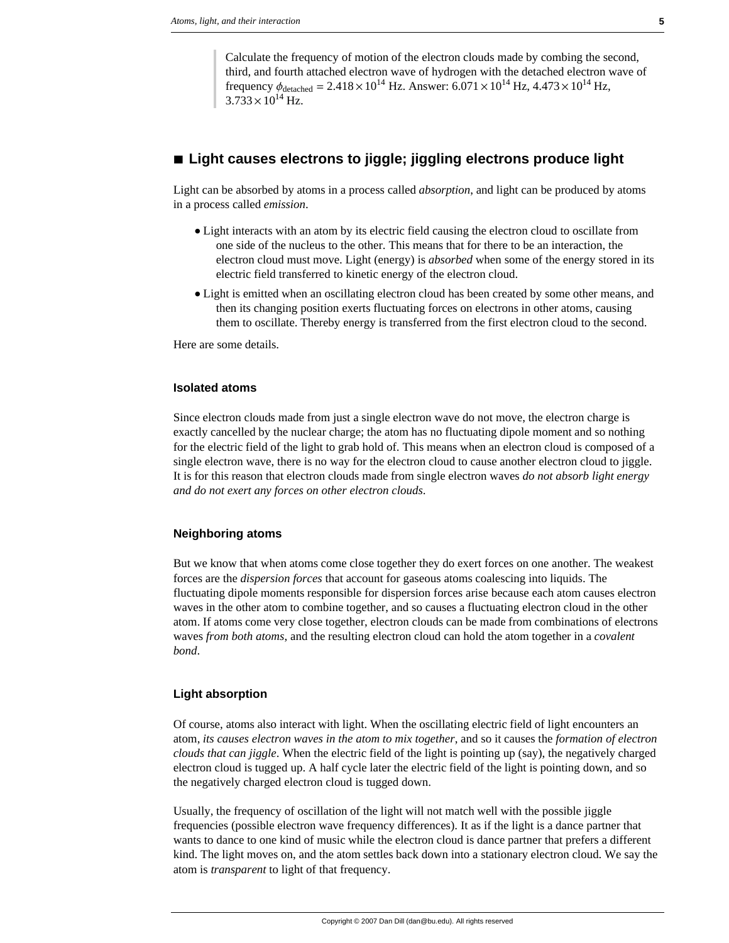Calculate the frequency of motion of the electron clouds made by combing the second, third, and fourth attached electron wave of hydrogen with the detached electron wave of frequency  $\phi_{\text{detached}} = 2.418 \times 10^{14} \text{ Hz}$ . Answer:  $6.071 \times 10^{14} \text{ Hz}$ ,  $4.473 \times 10^{14} \text{ Hz}$ ,  $3.733 \times 10^{14}$  Hz.

# ■ Light causes electrons to jiggle; jiggling electrons produce light

Light can be absorbed by atoms in a process called *absorption*, and light can be produced by atoms in a process called *emission*.

- è Light interacts with an atom by its electric field causing the electron cloud to oscillate from one side of the nucleus to the other. This means that for there to be an interaction, the electron cloud must move. Light (energy) is *absorbed* when some of the energy stored in its electric field transferred to kinetic energy of the electron cloud.
- è Light is emitted when an oscillating electron cloud has been created by some other means, and then its changing position exerts fluctuating forces on electrons in other atoms, causing them to oscillate. Thereby energy is transferred from the first electron cloud to the second.

Here are some details.

### **Isolated atoms**

Since electron clouds made from just a single electron wave do not move, the electron charge is exactly cancelled by the nuclear charge; the atom has no fluctuating dipole moment and so nothing for the electric field of the light to grab hold of. This means when an electron cloud is composed of a single electron wave, there is no way for the electron cloud to cause another electron cloud to jiggle. It is for this reason that electron clouds made from single electron waves *do not absorb light energy and do not exert any forces on other electron clouds*.

#### **Neighboring atoms**

But we know that when atoms come close together they do exert forces on one another. The weakest forces are the *dispersion forces* that account for gaseous atoms coalescing into liquids. The fluctuating dipole moments responsible for dispersion forces arise because each atom causes electron waves in the other atom to combine together, and so causes a fluctuating electron cloud in the other atom. If atoms come very close together, electron clouds can be made from combinations of electrons waves *from both atoms*, and the resulting electron cloud can hold the atom together in a *covalent bond*.

#### **Light absorption**

Of course, atoms also interact with light. When the oscillating electric field of light encounters an atom, *its causes electron waves in the atom to mix together*, and so it causes the *formation of electron clouds that can jiggle*. When the electric field of the light is pointing up (say), the negatively charged electron cloud is tugged up. A half cycle later the electric field of the light is pointing down, and so the negatively charged electron cloud is tugged down.

Usually, the frequency of oscillation of the light will not match well with the possible jiggle frequencies (possible electron wave frequency differences). It as if the light is a dance partner that wants to dance to one kind of music while the electron cloud is dance partner that prefers a different kind. The light moves on, and the atom settles back down into a stationary electron cloud. We say the atom is *transparent* to light of that frequency.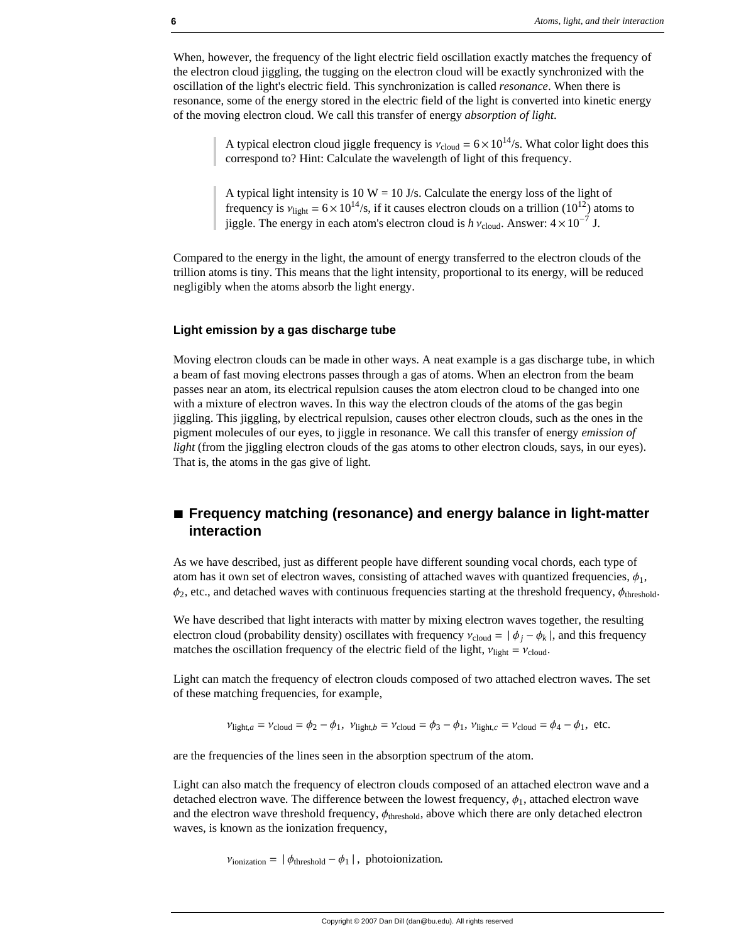When, however, the frequency of the light electric field oscillation exactly matches the frequency of the electron cloud jiggling, the tugging on the electron cloud will be exactly synchronized with the oscillation of the light's electric field. This synchronization is called *resonance*. When there is resonance, some of the energy stored in the electric field of the light is converted into kinetic energy of the moving electron cloud. We call this transfer of energy *absorption of light*.

> A typical electron cloud jiggle frequency is  $v_{\text{cloud}} = 6 \times 10^{14}$ /s. What color light does this correspond to? Hint: Calculate the wavelength of light of this frequency.

A typical light intensity is 10 W = 10 J/s. Calculate the energy loss of the light of frequency is  $v_{\text{light}} = 6 \times 10^{14} / s$ , if it causes electron clouds on a trillion (10<sup>12</sup>) atoms to jiggle. The energy in each atom's electron cloud is  $h v_{\text{cloud}}$ . Answer:  $4 \times 10^{-7}$  J.

Compared to the energy in the light, the amount of energy transferred to the electron clouds of the trillion atoms is tiny. This means that the light intensity, proportional to its energy, will be reduced negligibly when the atoms absorb the light energy.

#### **Light emission by a gas discharge tube**

Moving electron clouds can be made in other ways. A neat example is a gas discharge tube, in which a beam of fast moving electrons passes through a gas of atoms. When an electron from the beam passes near an atom, its electrical repulsion causes the atom electron cloud to be changed into one with a mixture of electron waves. In this way the electron clouds of the atoms of the gas begin jiggling. This jiggling, by electrical repulsion, causes other electron clouds, such as the ones in the pigment molecules of our eyes, to jiggle in resonance. We call this transfer of energy *emission of light* (from the jiggling electron clouds of the gas atoms to other electron clouds, says, in our eyes). That is, the atoms in the gas give of light.

# **à Frequency matching (resonance) and energy balance in light-matter interaction**

As we have described, just as different people have different sounding vocal chords, each type of atom has it own set of electron waves, consisting of attached waves with quantized frequencies,  $\phi_1$ ,  $\phi_2$ , etc., and detached waves with continuous frequencies starting at the threshold frequency,  $\phi_{\text{threshold}}$ .

We have described that light interacts with matter by mixing electron waves together, the resulting electron cloud (probability density) oscillates with frequency  $v_{cloud} = | \phi_i - \phi_k |$ , and this frequency matches the oscillation frequency of the electric field of the light,  $v_{\text{light}} = v_{\text{cloud}}$ .

Light can match the frequency of electron clouds composed of two attached electron waves. The set of these matching frequencies, for example,

 $v_{\text{light},a} = v_{\text{cloud}} = \phi_2 - \phi_1$ ,  $v_{\text{light},b} = v_{\text{cloud}} = \phi_3 - \phi_1$ ,  $v_{\text{light},c} = v_{\text{cloud}} = \phi_4 - \phi_1$ , etc.

are the frequencies of the lines seen in the absorption spectrum of the atom.

Light can also match the frequency of electron clouds composed of an attached electron wave and a detached electron wave. The difference between the lowest frequency,  $\phi_1$ , attached electron wave and the electron wave threshold frequency,  $\phi_{\rm threshold}$ , above which there are only detached electron waves, is known as the ionization frequency,

 $v_{\text{ionization}} = | \phi_{\text{threshold}} - \phi_1 |$ , photoionization.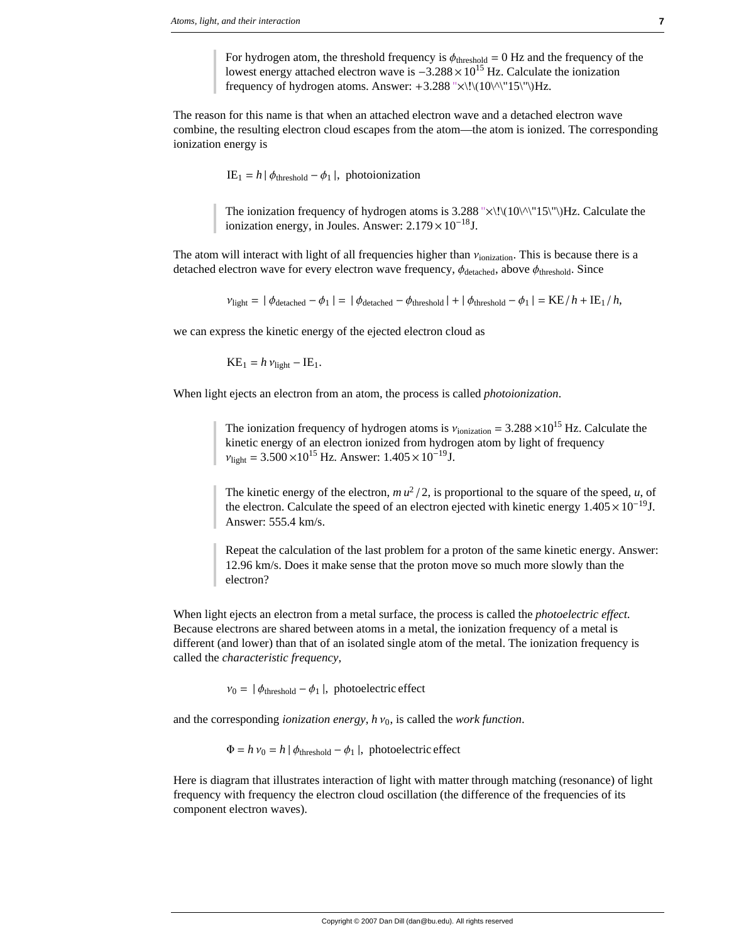For hydrogen atom, the threshold frequency is  $\phi_{\text{threshold}} = 0$  Hz and the frequency of the lowest energy attached electron wave is  $-3.288 \times 10^{15}$  Hz. Calculate the ionization frequency of hydrogen atoms. Answer:  $+3.288$  " $\times$ \!\ $(10\sqrt{15}\)$ "\)Hz.

The reason for this name is that when an attached electron wave and a detached electron wave combine, the resulting electron cloud escapes from the atom—the atom is ionized. The corresponding ionization energy is

 $IE_1 = h | \phi_{threshold} - \phi_1 |$ , photoionization

The ionization frequency of hydrogen atoms is 3.288 " $\times$ \!\(10\^\"15\"\)Hz. Calculate the ionization energy, in Joules. Answer:  $2.179 \times 10^{-18}$ J.

The atom will interact with light of all frequencies higher than  $v_{\text{ionization}}$ . This is because there is a detached electron wave for every electron wave frequency,  $\phi_{\text{detached}}$ , above  $\phi_{\text{threshold}}$ . Since

 $v_{\text{light}} = |\phi_{\text{detached}} - \phi_1| = |\phi_{\text{detached}} - \phi_{\text{threshold}}| + |\phi_{\text{threshold}} - \phi_1| = \text{KE}/h + \text{IE}_1/h,$ 

we can express the kinetic energy of the ejected electron cloud as

 $KE_1 = h v_{\text{light}} - IE_1.$ 

When light ejects an electron from an atom, the process is called *photoionization*.

The ionization frequency of hydrogen atoms is  $v_{\text{ionization}} = 3.288 \times 10^{15}$  Hz. Calculate the kinetic energy of an electron ionized from hydrogen atom by light of frequency  $v_{\text{light}} = 3.500 \times 10^{15} \text{ Hz}$ . Answer:  $1.405 \times 10^{-19} \text{J}$ .

The kinetic energy of the electron,  $m u^2 / 2$ , is proportional to the square of the speed, *u*, of the electron. Calculate the speed of an electron ejected with kinetic energy  $1.405 \times 10^{-19}$ J. Answer: 555.4 km/s.

Repeat the calculation of the last problem for a proton of the same kinetic energy. Answer: 12.96 km/s. Does it make sense that the proton move so much more slowly than the electron?

When light ejects an electron from a metal surface, the process is called the *photoelectric effect*. Because electrons are shared between atoms in a metal, the ionization frequency of a metal is different (and lower) than that of an isolated single atom of the metal. The ionization frequency is called the *characteristic frequency*,

 $v_0 = |\phi_{\text{threshold}} - \phi_1|$ , photoelectric effect

and the corresponding *ionization energy*,  $h v_0$ , is called the *work function*.

 $\Phi = h v_0 = h |\phi_{\text{threshold}} - \phi_1|$ , photoelectric effect

Here is diagram that illustrates interaction of light with matter through matching (resonance) of light frequency with frequency the electron cloud oscillation (the difference of the frequencies of its component electron waves).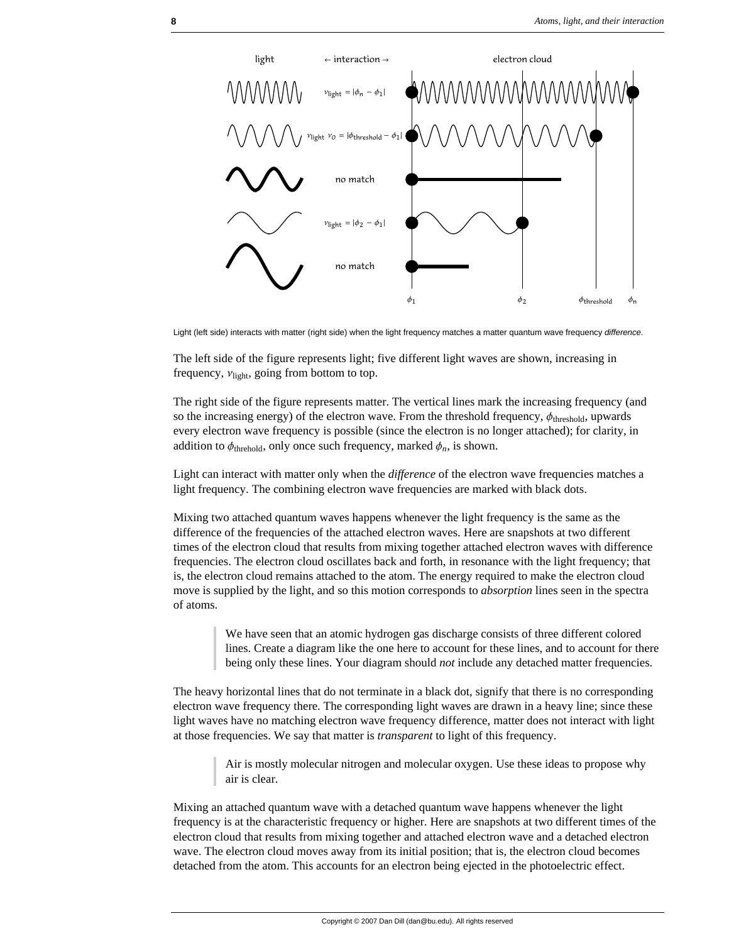

Light (left side) interacts with matter (right side) when the light frequency matches a matter quantum wave frequency *difference*.

The left side of the figure represents light; five different light waves are shown, increasing in frequency,  $v_{\text{light}}$ , going from bottom to top.

The right side of the figure represents matter. The vertical lines mark the increasing frequency (and so the increasing energy) of the electron wave. From the threshold frequency,  $\phi_{\text{threshold}}$ , upwards every electron wave frequency is possible (since the electron is no longer attached); for clarity, in addition to  $\phi_{\text{threshold}}$ , only once such frequency, marked  $\phi_n$ , is shown.

Light can interact with matter only when the *difference* of the electron wave frequencies matches a light frequency. The combining electron wave frequencies are marked with black dots.

Mixing two attached quantum waves happens whenever the light frequency is the same as the difference of the frequencies of the attached electron waves. Here are snapshots at two different times of the electron cloud that results from mixing together attached electron waves with difference frequencies. The electron cloud oscillates back and forth, in resonance with the light frequency; that is, the electron cloud remains attached to the atom. The energy required to make the electron cloud move is supplied by the light, and so this motion corresponds to *absorption* lines seen in the spectra of atoms.

> We have seen that an atomic hydrogen gas discharge consists of three different colored lines. Create a diagram like the one here to account for these lines, and to account for there being only these lines. Your diagram should *not* include any detached matter frequencies.

The heavy horizontal lines that do not terminate in a black dot, signify that there is no corresponding electron wave frequency there. The corresponding light waves are drawn in a heavy line; since these light waves have no matching electron wave frequency difference, matter does not interact with light at those frequencies. We say that matter is *transparent* to light of this frequency.

> Air is mostly molecular nitrogen and molecular oxygen. Use these ideas to propose why air is clear.

Mixing an attached quantum wave with a detached quantum wave happens whenever the light frequency is at the characteristic frequency or higher. Here are snapshots at two different times of the electron cloud that results from mixing together and attached electron wave and a detached electron wave. The electron cloud moves away from its initial position; that is, the electron cloud becomes detached from the atom. This accounts for an electron being ejected in the photoelectric effect.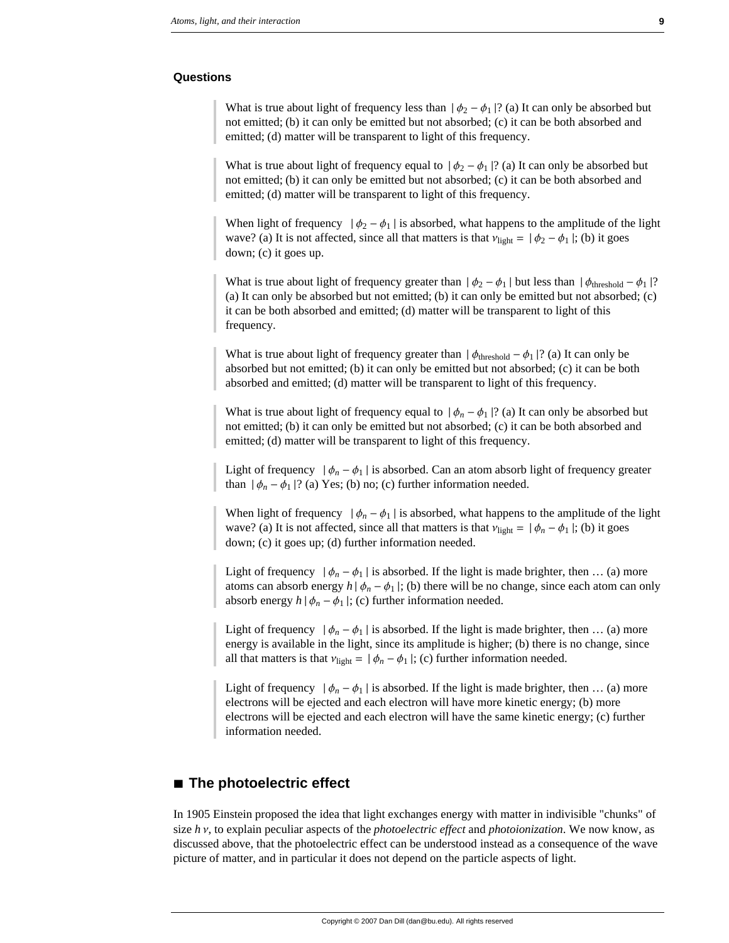### **Questions**

What is true about light of frequency less than  $|\phi_2 - \phi_1|$ ? (a) It can only be absorbed but not emitted; (b) it can only be emitted but not absorbed; (c) it can be both absorbed and emitted; (d) matter will be transparent to light of this frequency.

What is true about light of frequency equal to  $\left[\phi_2 - \phi_1\right]$ ? (a) It can only be absorbed but not emitted; (b) it can only be emitted but not absorbed; (c) it can be both absorbed and emitted; (d) matter will be transparent to light of this frequency.

When light of frequency  $|\phi_2 - \phi_1|$  is absorbed, what happens to the amplitude of the light wave? (a) It is not affected, since all that matters is that  $v_{\text{light}} = |\phi_2 - \phi_1|$ ; (b) it goes down; (c) it goes up.

What is true about light of frequency greater than  $|\phi_2 - \phi_1|$  but less than  $|\phi_{\text{threshold}} - \phi_1|$ ? (a) It can only be absorbed but not emitted; (b) it can only be emitted but not absorbed; (c) it can be both absorbed and emitted; (d) matter will be transparent to light of this frequency.

What is true about light of frequency greater than  $|\phi_{\text{threshold}} - \phi_1|$ ? (a) It can only be absorbed but not emitted; (b) it can only be emitted but not absorbed; (c) it can be both absorbed and emitted; (d) matter will be transparent to light of this frequency.

What is true about light of frequency equal to  $|\phi_n - \phi_1|$ ? (a) It can only be absorbed but not emitted; (b) it can only be emitted but not absorbed; (c) it can be both absorbed and emitted; (d) matter will be transparent to light of this frequency.

Light of frequency  $|\phi_n - \phi_1|$  is absorbed. Can an atom absorb light of frequency greater than  $|\phi_n - \phi_1|$ ? (a) Yes; (b) no; (c) further information needed.

When light of frequency  $|\phi_n - \phi_1|$  is absorbed, what happens to the amplitude of the light wave? (a) It is not affected, since all that matters is that  $v_{\text{light}} = |\phi_n - \phi_1|$ ; (b) it goes down; (c) it goes up; (d) further information needed.

Light of frequency  $|\phi_n - \phi_1|$  is absorbed. If the light is made brighter, then ... (a) more atoms can absorb energy  $h | \phi_n - \phi_1 |$ ; (b) there will be no change, since each atom can only absorb energy  $h | \phi_n - \phi_1 |$ ; (c) further information needed.

Light of frequency  $|\phi_n - \phi_1|$  is absorbed. If the light is made brighter, then ... (a) more energy is available in the light, since its amplitude is higher; (b) there is no change, since all that matters is that  $v_{\text{light}} = |\phi_n - \phi_1|$ ; (c) further information needed.

Light of frequency  $|\phi_n - \phi_1|$  is absorbed. If the light is made brighter, then ... (a) more electrons will be ejected and each electron will have more kinetic energy; (b) more electrons will be ejected and each electron will have the same kinetic energy; (c) further information needed.

# ■ The photoelectric effect

In 1905 Einstein proposed the idea that light exchanges energy with matter in indivisible "chunks" of size *h* n, to explain peculiar aspects of the *photoelectric effect* and *photoionization*. We now know, as discussed above, that the photoelectric effect can be understood instead as a consequence of the wave picture of matter, and in particular it does not depend on the particle aspects of light.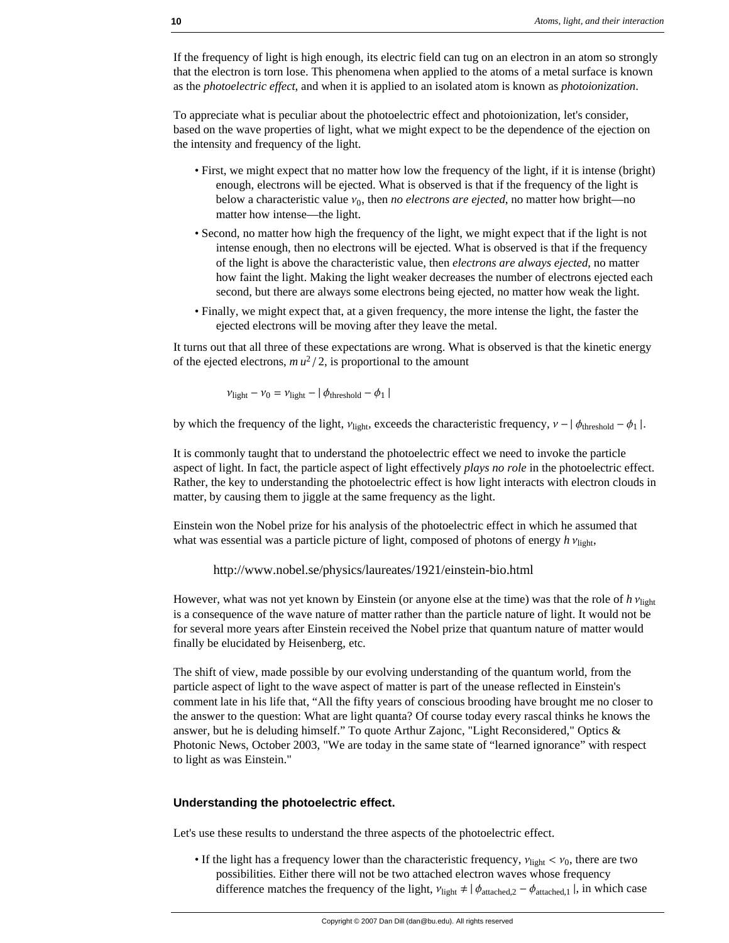If the frequency of light is high enough, its electric field can tug on an electron in an atom so strongly that the electron is torn lose. This phenomena when applied to the atoms of a metal surface is known as the *photoelectric effect*, and when it is applied to an isolated atom is known as *photoionization*.

To appreciate what is peculiar about the photoelectric effect and photoionization, let's consider, based on the wave properties of light, what we might expect to be the dependence of the ejection on the intensity and frequency of the light.

- First, we might expect that no matter how low the frequency of the light, if it is intense (bright) enough, electrons will be ejected. What is observed is that if the frequency of the light is below a characteristic value  $v_0$ , then *no electrons are ejected*, no matter how bright—no matter how intense—the light.
- Second, no matter how high the frequency of the light, we might expect that if the light is not intense enough, then no electrons will be ejected. What is observed is that if the frequency of the light is above the characteristic value, then *electrons are always ejected*, no matter how faint the light. Making the light weaker decreases the number of electrons ejected each second, but there are always some electrons being ejected, no matter how weak the light.
- Finally, we might expect that, at a given frequency, the more intense the light, the faster the ejected electrons will be moving after they leave the metal.

It turns out that all three of these expectations are wrong. What is observed is that the kinetic energy of the ejected electrons,  $m u^2 / 2$ , is proportional to the amount

 $v_{\text{light}} - v_0 = v_{\text{light}} - |\phi_{\text{threshold}} - \phi_1|$ 

by which the frequency of the light,  $v_{\text{light}}$ , exceeds the characteristic frequency,  $v - |\phi_{\text{threshold}} - \phi_1|$ .

It is commonly taught that to understand the photoelectric effect we need to invoke the particle aspect of light. In fact, the particle aspect of light effectively *plays no role* in the photoelectric effect. Rather, the key to understanding the photoelectric effect is how light interacts with electron clouds in matter, by causing them to jiggle at the same frequency as the light.

Einstein won the Nobel prize for his analysis of the photoelectric effect in which he assumed that what was essential was a particle picture of light, composed of photons of energy  $h$   $v_{\text{light}}$ ,

http://www.nobel.se/physics/laureates/1921/einstein-bio.html

However, what was not yet known by Einstein (or anyone else at the time) was that the role of  $h v_{\text{light}}$ is a consequence of the wave nature of matter rather than the particle nature of light. It would not be for several more years after Einstein received the Nobel prize that quantum nature of matter would finally be elucidated by Heisenberg, etc.

The shift of view, made possible by our evolving understanding of the quantum world, from the particle aspect of light to the wave aspect of matter is part of the unease reflected in Einstein's comment late in his life that, "All the fifty years of conscious brooding have brought me no closer to the answer to the question: What are light quanta? Of course today every rascal thinks he knows the answer, but he is deluding himself." To quote Arthur Zajonc, "Light Reconsidered," Optics & Photonic News, October 2003, "We are today in the same state of "learned ignorance" with respect to light as was Einstein."

#### **Understanding the photoelectric effect.**

Let's use these results to understand the three aspects of the photoelectric effect.

• If the light has a frequency lower than the characteristic frequency,  $v_{\text{light}} < v_0$ , there are two possibilities. Either there will not be two attached electron waves whose frequency difference matches the frequency of the light,  $v_{\text{light}} \neq \phi_{\text{attached},2} - \phi_{\text{attached},1} |$ , in which case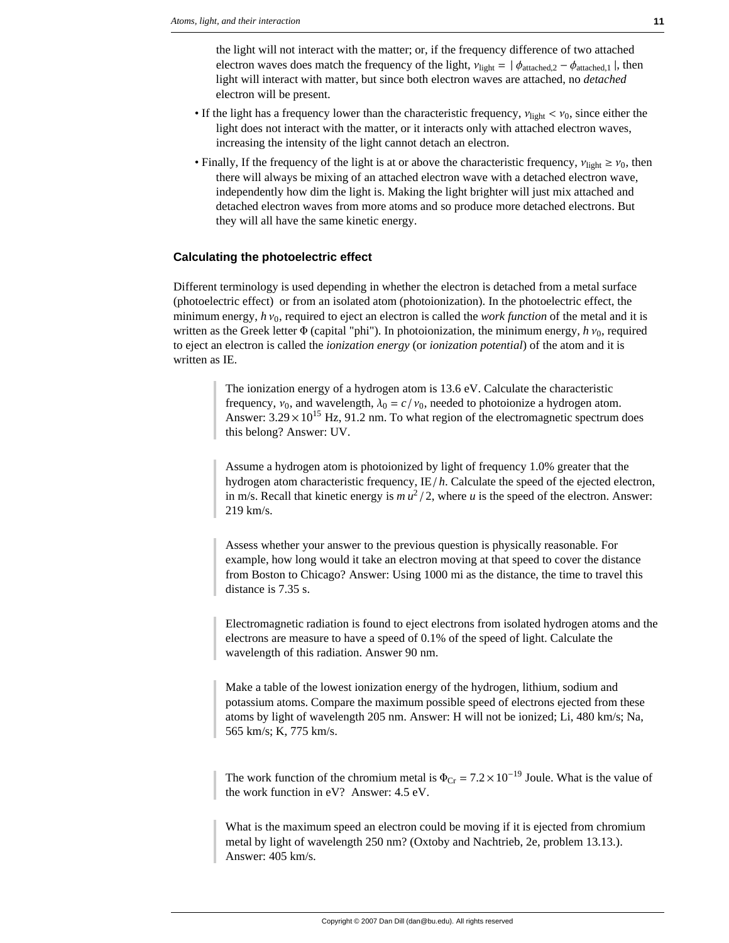the light will not interact with the matter; or, if the frequency difference of two attached electron waves does match the frequency of the light,  $v_{\text{light}} = |\phi_{\text{attached},2} - \phi_{\text{attached},1}|$ , then light will interact with matter, but since both electron waves are attached, no *detached* electron will be present.

- If the light has a frequency lower than the characteristic frequency,  $v_{\text{light}} < v_0$ , since either the light does not interact with the matter, or it interacts only with attached electron waves, increasing the intensity of the light cannot detach an electron.
- Finally, If the frequency of the light is at or above the characteristic frequency,  $v_{\text{light}} \ge v_0$ , then there will always be mixing of an attached electron wave with a detached electron wave, independently how dim the light is. Making the light brighter will just mix attached and detached electron waves from more atoms and so produce more detached electrons. But they will all have the same kinetic energy.

#### **Calculating the photoelectric effect**

Different terminology is used depending in whether the electron is detached from a metal surface (photoelectric effect) or from an isolated atom (photoionization). In the photoelectric effect, the minimum energy,  $h v_0$ , required to eject an electron is called the *work function* of the metal and it is written as the Greek letter  $\Phi$  (capital "phi"). In photoionization, the minimum energy,  $h v_0$ , required to eject an electron is called the *ionization energy* (or *ionization potential*) of the atom and it is written as IE.

> The ionization energy of a hydrogen atom is 13.6 eV. Calculate the characteristic frequency,  $v_0$ , and wavelength,  $\lambda_0 = c/v_0$ , needed to photoionize a hydrogen atom. Answer:  $3.29 \times 10^{15}$  Hz, 91.2 nm. To what region of the electromagnetic spectrum does this belong? Answer: UV.

Assume a hydrogen atom is photoionized by light of frequency 1.0% greater that the hydrogen atom characteristic frequency, IE/h. Calculate the speed of the ejected electron, in m/s. Recall that kinetic energy is  $mu^2/2$ , where *u* is the speed of the electron. Answer: 219 km/s.

Assess whether your answer to the previous question is physically reasonable. For example, how long would it take an electron moving at that speed to cover the distance from Boston to Chicago? Answer: Using 1000 mi as the distance, the time to travel this distance is 7.35 s.

Electromagnetic radiation is found to eject electrons from isolated hydrogen atoms and the electrons are measure to have a speed of 0.1% of the speed of light. Calculate the wavelength of this radiation. Answer 90 nm.

Make a table of the lowest ionization energy of the hydrogen, lithium, sodium and potassium atoms. Compare the maximum possible speed of electrons ejected from these atoms by light of wavelength 205 nm. Answer: H will not be ionized; Li, 480 km/s; Na, 565 km/s; K, 775 km/s.

The work function of the chromium metal is  $\Phi_{Cr} = 7.2 \times 10^{-19}$  Joule. What is the value of the work function in eV? Answer: 4.5 eV.

What is the maximum speed an electron could be moving if it is ejected from chromium metal by light of wavelength 250 nm? (Oxtoby and Nachtrieb, 2e, problem 13.13.). Answer: 405 km/s.